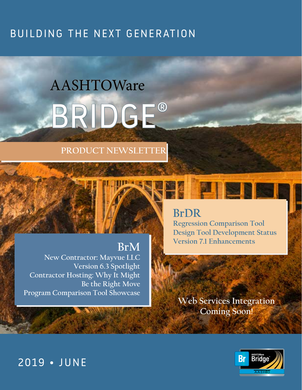# BUILDING THE NEXT GENERATION

# AASHTOWare BRIDGE®

#### **PRODUCT NEWSLETTER**



## **[BrDR](#page-1-0)**

**[Regression Comparison Tool](#page-2-0) [Design Tool Development Status](#page-4-0) [Version 7.1 Enhancements](#page-5-0) [BrM](#page-6-0)**

> **[Web Services Integration](#page-7-0)  Coming Soon!**



**[New Contractor: Mayvue LLC](#page-7-0) [Version 6.3 Spotlight](#page-9-0) [Contractor Hosting: Why It Might](#page-11-0)  Be the Right Move [Program Comparison Tool Showcase](#page-11-0)**

## 2019 • JUNE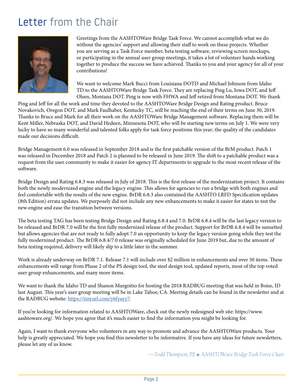# <span id="page-1-0"></span>Letter from the Chair



Greetings from the AASHTOWare Bridge Task Force. We cannot accomplish what we do without the agencies' support and allowing their staff to work on these projects. Whether you are serving as a Task Force member, beta testing software, reviewing screen mockups, or participating in the annual user group meetings, it takes a lot of volunteer hands working together to produce the success we have achieved. Thanks to you and your agency for all of your contributions!

We want to welcome Mark Bucci from Louisiana DOTD and Michael Johnson from Idaho TD to the AASHTOWare Bridge Task Force. They are replacing Ping Lu, Iowa DOT, and Jeff Olsen, Montana DOT. Ping is now with FHWA and Jeff retired from Montana DOT. We thank

Ping and Jeff for all the work and time they devoted to the AASHTOWare Bridge Design and Rating product. Bruce Novakovich, Oregon DOT, and Mark Faulhaber, Kentucky TC, will be reaching the end of their terms on June 30, 2019. Thanks to Bruce and Mark for all their work on the AASHTOWare Bridge Management software. Replacing them will be Kent Miller, Nebraska DOT, and David Hedeen, Minnesota DOT, who will be starting new terms on July 1. We were very lucky to have so many wonderful and talented folks apply for task force positions this year; the quality of the candidates made our decisions difficult.

Bridge Management 6.0 was released in September 2018 and is the first patchable version of the BrM product. Patch 1 was released in December 2018 and Patch 2 is planned to be released in June 2019. The shift to a patchable product was a request from the user community to make it easier for agency IT departments to upgrade to the most recent release of the software.

Bridge Design and Rating 6.8.3 was released in July of 2018. This is the first release of the modernization project. It contains both the newly modernized engine and the legacy engine. This allows for agencies to run a bridge with both engines and feel comfortable with the results of the new engine. BrDR 6.8.3 also contained the AASHTO LRFD Specification updates (8th Edition) errata updates. We purposely did not include any new enhancements to make it easier for states to test the new engine and ease the transition between versions.

The beta testing TAG has been testing Bridge Design and Rating 6.8.4 and 7.0. BrDR 6.8.4 will be the last legacy version to be released and BrDR 7.0 will be the first fully modernized release of the product. Support for BrDR 6.8.4 will be sunsetted but allows agencies that are not ready to fully adopt 7.0 an opportunity to keep the legacy version going while they test the fully modernized product. The BrDR 6.8.4/7.0 release was originally scheduled for June 2019 but, due to the amount of beta testing required, delivery will likely slip to a little later in the summer.

Work is already underway on BrDR 7.1. Release 7.1 will include over \$2 million in enhancements and over 30 items. These enhancements will range from Phase 2 of the PS design tool, the steel design tool, updated reports, most of the top voted user group enhancements, and many more items.

We want to thank the Idaho TD and Shanon Murgoitio for hosting the 2018 RADBUG meeting that was held in Boise, ID last August. This year's user group meeting will be in Lake Tahoe, CA. Meeting details can be found in the newsletter and at the RADBUG website[: https://tinyurl.com/y6fyayy7.](https://tinyurl.com/y6fyayy7)

If you're looking for information related to AASHTOWare, check out the newly redesigned web site: https://www. aashtoware.org/. We hope you agree that it's much easier to find the information you might be looking for.

Again, I want to thank everyone who volunteers in any way to promote and advance the AASHTOWare products. Your help is greatly appreciated. We hope you find this newsletter to be informative. If you have any ideas for future newsletters, please let any of us know.

*—Todd Thompson, PE � AASHTOWare Bridge Task Force Chair*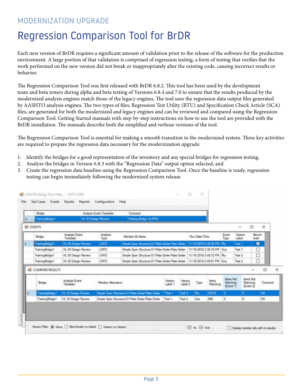#### <span id="page-2-0"></span>MODERNIZATION UPGRADE

# Regression Comparison Tool for BrDR

Each new version of BrDR requires a significant amount of validation prior to the release of the software for the production environment. A large portion of that validation is comprised of regression testing, a form of testing that verifies that the work performed on the new version did not break or inappropriately alter the existing code, causing incorrect results or behavior.

The Regression Comparison Tool was first released with BrDR 6.8.2. This tool has been used by the development team and beta testers during alpha and beta testing of Versions 6.8.4 and 7.0 to ensure that the results produced by the modernized analysis engines match those of the legacy engines. The tool uses the regression data output files generated by AASHTO analysis engines. The two types of files, Regression Test Utility (RTU) and Specification Check Article (SCA) files, are generated for both the modernized and legacy engines and can be reviewed and compared using the Regression Comparison Tool. Getting Started manuals with step-by-step instructions on how to use the tool are provided with the BrDR installation. The manuals describe both the simplified and verbose versions of the tool.

The Regression Comparison Tool is essential for making a smooth transition to the modernized system. Three key activities are required to prepare the regression data necessary for the modernization upgrade:

- 1. Identify the bridges for a good representation of the inventory and any special bridges for regression testing,
- 2. Analyze the bridges in Version 6.8.3 with the "Regression Data" output option selected, and
- 3. Create the regression data baseline using the Regression Comparison Tool. Once the baseline is ready, regression testing can begin immediately following the modernized system release.

| Endge<br>Training Endge <sup>1</sup> |                            | Analysis Event Template<br>HL 93 Design Review | Commert<br>Training Bridge 1(LRFD)                 |                    |                    |                           |                  |                                           |                  |                                         |         |  |
|--------------------------------------|----------------------------|------------------------------------------------|----------------------------------------------------|--------------------|--------------------|---------------------------|------------------|-------------------------------------------|------------------|-----------------------------------------|---------|--|
| <b>By EVENTS</b>                     |                            |                                                |                                                    |                    |                    |                           |                  |                                           | $\sim$           | O                                       | ×       |  |
| Bridge                               | Analysis Event<br>Template | Analysis<br>Type                               | Member At Name                                     |                    |                    | Run Date/Time             |                  | Event<br>Type                             | Version<br>Label | Bench-<br>mark                          |         |  |
| <b>TrainingBridge1</b>               | HL 93 Design Review        | <b>LRFD</b>                                    | Simple Span Structure G1 Plate Groke Plate Girder  |                    |                    | 11/16/2016 3:35:35 PM Ru  |                  |                                           | Test 1           | ×                                       |         |  |
| TrainingBridge1                      | HL 93 Design Review.       | LRFD                                           | Simple Span Structure G1 Plate Girder Plate Girder |                    |                    | 11/16/2016 3:36:15 PM Sca |                  |                                           | Test 1           | □                                       |         |  |
| TrainingBridge 1                     | HL 93 Design Review        | LRFD                                           | Single Span Structure G1 Plate Grder Plate Grder   |                    |                    | 11/16/2016 3:40:12 PM Ru  |                  |                                           | Text 2           | D                                       |         |  |
| TrainingBridge1                      | HL 93 Design Review        | LRFD                                           | Smoke Span Structure G1 Plate Grder Plate Grder    |                    |                    | 11/16/2016 3:40:51 PM Sca |                  |                                           | Test 2           | C                                       |         |  |
| <b>WE COMPARE RESULTS</b>            |                            |                                                |                                                    |                    |                    |                           |                  |                                           |                  | $\sim$                                  | □       |  |
| Bridge                               | Analysis Event<br>Template | Member Abernative                              |                                                    | Version<br>Label 1 | Version<br>Label 2 | Type                      | bens<br>Matching | <b>Berns Net</b><br>Matching<br>(Event 1) |                  | <b>bems</b> Not<br>Matching<br>Event 2) | Comment |  |
| TrainingBridge1                      | HL 33 Design Review        |                                                | Simple Span Structure G1 Plate Grder Plate Grder   | Test 1             | Text 2             | Ru                        | 97676            |                                           |                  | o                                       | OK      |  |
| TrainingBridge1                      | HL 33 Design Review        |                                                | Smple Span Structure G1 Plate Grder Plate Grder    | Test 1             | Test 2             | Sca                       | 866              | ø                                         |                  | ٥                                       | OK      |  |
|                                      |                            |                                                |                                                    |                    |                    |                           |                  |                                           |                  |                                         |         |  |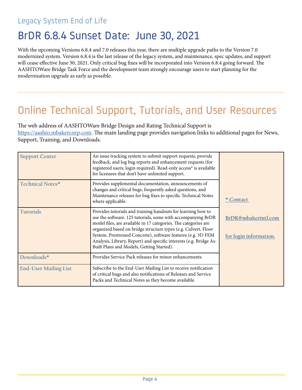#### Legacy System End of Life

## BrDR 6.8.4 Sunset Date: June 30, 2021

With the upcoming Versions 6.8.4 and 7.0 releases this year, there are multiple upgrade paths to the Version 7.0 modernized system. Version 6.8.4 is the last release of the legacy system, and maintenance, spec updates, and support will cease effective June 30, 2021. Only critical bug fixes will be incorporated into Version 6.8.4 going forward. The AASHTOWare Bridge Task Force and the development team strongly encourage users to start planning for the modernization upgrade as early as possible.

# Online Technical Support, Tutorials, and User Resources

The web address of AASHTOWare Bridge Design and Rating Technical Support is [https://aashto.mbakercorp.com. Th](https://aashto.mbakercorp.com)e main landing page provides navigation links to additional pages for News, Support, Training, and Downloads.

| <b>Support Center</b>        | An issue tracking system to submit support requests, provide<br>feedback, and log bug reports and enhancement requests (for<br>registered users; login required). Read-only access* is available<br>for licensees that don't have unlimited support.                                                                                                                                                                                                  |                                               |
|------------------------------|-------------------------------------------------------------------------------------------------------------------------------------------------------------------------------------------------------------------------------------------------------------------------------------------------------------------------------------------------------------------------------------------------------------------------------------------------------|-----------------------------------------------|
| Technical Notes*             | Provides supplemental documentation, announcements of<br>changes and critical bugs, frequently asked questions, and<br>Maintenance releases for bug fixes to specific Technical Notes<br>where applicable.                                                                                                                                                                                                                                            | * Contact                                     |
| <b>Tutorials</b>             | Provides tutorials and training handouts for learning how to<br>use the software. 125 tutorials, some with accompanying BrDR<br>model files, are available in 17 categories. The categories are<br>organized based on bridge structure types (e.g. Culvert, Floor<br>System, Prestressed Concrete), software features (e.g. 3D FEM<br>Analysis, Library, Report) and specific interests (e.g. Bridge As-<br>Built Plans and Models, Getting Started). | BrDR@mbakerintl.com<br>for login information. |
| Downloads*                   | Provides Service Pack releases for minor enhancements.                                                                                                                                                                                                                                                                                                                                                                                                |                                               |
| <b>End-User Mailing List</b> | Subscribe to the End-User Mailing List to receive notification<br>of critical bugs and also notifications of Releases and Service<br>Packs and Technical Notes as they become available.                                                                                                                                                                                                                                                              |                                               |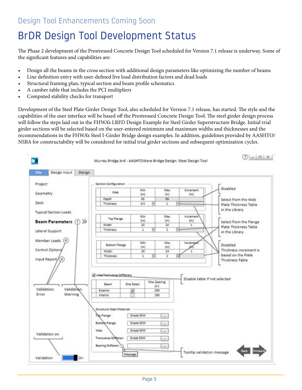#### <span id="page-4-0"></span>Design Tool Enhancements Coming Soon

# BrDR Design Tool Development Status

The Phase 2 development of the Prestressed Concrete Design Tool scheduled for Version 7.1 release is underway. Some of the significant features and capabilities are:

- Design all the beams in the cross section with additional design parameters like optimizing the number of beams
- Line definition entry with user-defined live load distribution factors and dead loads
- Structural framing plan, typical section and beam profile schematics
- A camber table that includes the PCI multipliers
- Computed stability checks for transport

Development of the Steel Plate Girder Design Tool, also scheduled for Version 7.1 release, has started. The style and the capabilities of the user interface will be based off the Prestressed Concrete Design Tool. The steel girder design process will follow the steps laid out in the FHWA's LRFD Design Example for Steel Girder Superstructure Bridge. Initial trial girder sections will be selected based on the user-entered minimum and maximum widths and thicknesses and the recommendations in the FHWA's Steel I-Girder Bridge design examples. In addition, guidelines provided by AASHTO/ NSBA for constructability will be considered for initial trial girder sections and subsequent optimization cycles.

| File                 | Design Input                 | Design       |                                                                                               |                                                  |                     |                               |                          |                               |
|----------------------|------------------------------|--------------|-----------------------------------------------------------------------------------------------|--------------------------------------------------|---------------------|-------------------------------|--------------------------|-------------------------------|
| Project              |                              |              | Section Configuration                                                                         |                                                  |                     |                               |                          |                               |
| Geometry             |                              |              | Web                                                                                           | Min<br>(in)                                      |                     | Max<br>(in)                   | <b>Increment</b><br>(in) | Disabled                      |
|                      |                              |              | Depth                                                                                         | 65                                               |                     | 65                            |                          | Select from the Web           |
| Deck                 |                              |              | Thickness                                                                                     | 0.5                                              |                     | 1                             |                          | Plate Thickness Table         |
|                      |                              |              |                                                                                               |                                                  |                     |                               |                          | in the Library                |
|                      | <b>Typical Section Loads</b> |              |                                                                                               |                                                  |                     |                               |                          |                               |
|                      |                              |              | Top Flange                                                                                    | Min.                                             |                     | Max.                          | Increment                |                               |
|                      | <b>Beam Parameters</b>       | $\cup$ $\gg$ |                                                                                               | (in)                                             |                     | (in)                          | (in)                     | Select from the Flange        |
|                      |                              |              | Width                                                                                         | 26                                               |                     | 34                            | Ξ                        | Plate Thickness Table         |
|                      | Lateral Support              |              | Thickness                                                                                     | 1                                                |                     | ž                             |                          | in the Library                |
|                      |                              |              |                                                                                               |                                                  |                     |                               |                          |                               |
|                      | Member Loads                 |              |                                                                                               |                                                  |                     |                               |                          |                               |
|                      |                              |              | <b>Bottom Flange</b>                                                                          | Min<br>(in)                                      |                     | Max<br>(in)                   | Increment                | Disabled                      |
|                      | Control Optiony              |              | Width                                                                                         | 20                                               |                     | 24                            |                          | Thickness increment is        |
|                      |                              |              | Thickness                                                                                     | 1                                                |                     |                               |                          | based on the Plate            |
|                      |                              |              |                                                                                               |                                                  |                     |                               |                          |                               |
|                      | Input Report/(x)             |              |                                                                                               |                                                  |                     | 2                             |                          | Thickness Table               |
|                      | Validation:                  |              | Vi-Vie Transverse Stiffeners<br>Beam                                                          | One Sided                                        | Max Spacing<br>(in) |                               |                          | Disable table if not selected |
| Validation:<br>Error | <b>Warning</b>               |              | Exterior<br>Interior                                                                          | v                                                | 190<br>190          |                               |                          |                               |
|                      | Validation on                |              | Structural Steel Materials<br>The Flange:<br>Bottolo Fiange:<br>Web:<br>Transverse Stiffener: | Grade SOW<br>Grade SOW<br>Grade SOW<br>Grade SOW |                     | iad f<br>(An)<br>Ski)<br>indo |                          |                               |
|                      |                              |              | Bearing Stiffener: (1)                                                                        |                                                  |                     | Sep.                          |                          | Back                          |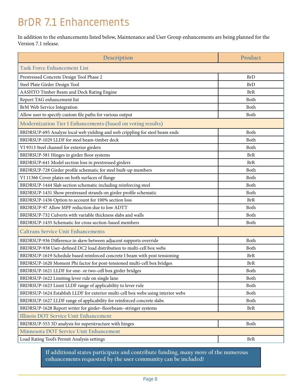# <span id="page-5-0"></span>BrDR 7.1 Enhancements

In addition to the enhancements listed below, Maintenance and User Group enhancements are being planned for the Version 7.1 release.

| Description                                                                      | Product    |
|----------------------------------------------------------------------------------|------------|
| <b>Task Force Enhancement List</b>                                               |            |
| Prestressed Concrete Design Tool Phase 2                                         | <b>BrD</b> |
| Steel Plate Girder Design Tool                                                   | <b>BrD</b> |
| AASHTO Timber Beam and Deck Rating Engine                                        | <b>BrR</b> |
| Report TAG enhancement list                                                      | Both       |
| <b>BrM Web Service Integration</b>                                               | Both       |
| Allow user to specify custom file paths for various output                       | Both       |
| Modernization Tier 1 Enhancements (based on voting results)                      |            |
| BRDRSUP-695 Analyze local web yielding and web crippling for steel beam ends     | Both       |
| BRDRSUP-1029 LLDF for steel beam-timber deck                                     | Both       |
| VI 9313 Steel channel for exterior girders                                       | Both       |
| BRDRSUP-581 Hinges in girder floor systems                                       | <b>BrR</b> |
| BRDRSUP-641 Model section loss in prestressed girders                            | <b>BrR</b> |
| BRDRSUP-728 Girder profile schematic for steel built-up members                  | Both       |
| VI 11366 Cover plates on both surfaces of flange                                 | Both       |
| BRDRSUP-1444 Slab section schematic including reinforcing steel                  | Both       |
| BRDRSUP-1431 Show prestressed strands on girder profile schematic                | Both       |
| BRDRSUP-1436 Option to account for 100% section loss                             | <b>BrR</b> |
| BRDRSUP-97 Allow MPF reduction due to low ADTT                                   | Both       |
| BRDRSUP-732 Culverts with variable thickness slabs and walls                     | Both       |
| BRDRSUP-1435 Schematic for cross section-based members                           | Both       |
| <b>Caltrans Service Unit Enhancements</b>                                        |            |
| BRDRSUP-936 Difference in skew between adjacent supports override                | Both       |
| BRDRSUP-938 User-defined DC2 load distribution to multi-cell box webs            | Both       |
| BRDRSUP-1619 Schedule based reinforced concrete I beam with post tensioning      | <b>BrR</b> |
| BRDRSUP-1620 Moment Phi factor for post-tensioned multi-cell box bridges         | <b>BrR</b> |
| BRDRSUP-1621 LLDF for one- or two-cell box girder bridges                        | Both       |
| BRDRSUP-1622 Limiting lever rule on single lane                                  | Both       |
| BRDRSUP-1623 Limit LLDF range of applicability to lever rule                     | Both       |
| BRDRSUP-1624 Establish LLDF for exterior multi-cell box webs using interior webs | Both       |
| BRDRSUP-1627 LLDF range of applicability for reinforced concrete slabs           | Both       |
| BRDRSUP-1628 Report writer for girder-floorbeam-stringer systems                 | <b>BrR</b> |
| Illinois DOT Service Unit Enhancement                                            |            |
| BRDRSUP-553 3D analysis for superstructure with hinges                           | Both       |
| Minnesota DOT Service Unit Enhancement                                           |            |
| Load Rating Tool's Permit Analysis settings                                      | <b>BrR</b> |

**If additional states participate and contribute funding, many more of the numerous enhancements requested by the user community can be included!**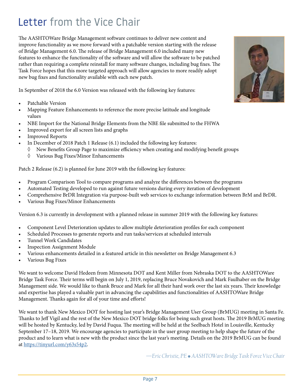# <span id="page-6-0"></span>Letter from the Vice Chair

The AASHTOWare Bridge Management software continues to deliver new content and improve functionality as we move forward with a patchable version starting with the release of Bridge Management 6.0. The release of Bridge Management 6.0 included many new features to enhance the functionality of the software and will allow the software to be patched rather than requiring a complete reinstall for many software changes, including bug fixes. The Task Force hopes that this more targeted approach will allow agencies to more readily adopt new bug fixes and functionality available with each new patch.

In September of 2018 the 6.0 Version was released with the following key features:

- Patchable Version
- Mapping Feature Enhancements to reference the more precise latitude and longitude values
- NBE Import for the National Bridge Elements from the NBE file submitted to the FHWA
- Improved export for all screen lists and graphs
- Improved Reports
- In December of 2018 Patch 1 Release (6.1) included the following key features:
	- $\Diamond$  New Benefits Group Page to maximize efficiency when creating and modifying benefit groups
	- ◊ Various Bug Fixes/Minor Enhancements

Patch 2 Release (6.2) is planned for June 2019 with the following key features:

- Program Comparison Tool to compare programs and analyze the differences between the programs
- Automated Testing developed to run against future versions during every iteration of development
- Comprehensive BrDR Integration via purpose-built web services to exchange information between BrM and BrDR.
- Various Bug Fixes/Minor Enhancements

Version 6.3 is currently in development with a planned release in summer 2019 with the following key features:

- Component Level Deterioration updates to allow multiple deterioration profiles for each component
- Scheduled Processes to generate reports and run tasks/services at scheduled intervals
- Tunnel Work Candidates
- **Inspection Assignment Module**
- Various enhancements detailed in a featured article in this newsletter on Bridge Management 6.3
- Various Bug Fixes

We want to welcome David Hedeen from Minnesota DOT and Kent Miller from Nebraska DOT to the AASHTOWare Bridge Task Force. Their terms will begin on July 1, 2019, replacing Bruce Novakovich and Mark Faulhaber on the Bridge Management side. We would like to thank Bruce and Mark for all their hard work over the last six years. Their knowledge and expertise has played a valuable part in advancing the capabilities and functionalities of AASHTOWare Bridge Management. Thanks again for all of your time and efforts!

We want to thank New Mexico DOT for hosting last year's Bridge Management User Group (BrMUG) meeting in Santa Fe. Thanks to Jeff Vigil and the rest of the New Mexico DOT bridge folks for being such great hosts. The 2019 BrMUG meeting will be hosted by Kentucky, led by David Fuqua. The meeting will be held at the Seelbach Hotel in Louisville, Kentucky September 17–18, 2019. We encourage agencies to participate in the user group meeting to help shape the future of the product and to learn what is new with the product since the last year's meeting. Details on the 2019 BrMUG can be found a[t https://tinyurl.com/y63s54p2.](https://tinyurl.com/y63s54p2)

*—Eric Christie, PE � AASHTOWare Bridge Task Force Vice Chair*

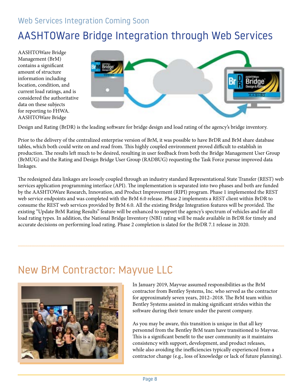#### <span id="page-7-0"></span>Web Services Integration Coming Soon

# AASHTOWare Bridge Integration through Web Services

AASHTOWare Bridge Management (BrM) contains a significant amount of structure information including location, condition, and current load ratings, and is considered the authoritative data on these subjects for reporting to FHWA. AASHTOWare Bridge



Design and Rating (BrDR) is the leading software for bridge design and load rating of the agency's bridge inventory.

Prior to the delivery of the centralized enterprise version of BrM, it was possible to have BrDR and BrM share database tables, which both could write on and read from. This highly coupled environment proved difficult to establish in production. The results left much to be desired, resulting in user feedback from both the Bridge Management User Group (BrMUG) and the Rating and Design Bridge User Group (RADBUG) requesting the Task Force pursue improved data linkages.

The redesigned data linkages are loosely coupled through an industry standard Representational State Transfer (REST) web services application programming interface (API). The implementation is separated into two phases and both are funded by the AASHTOWare Research, Innovation, and Product Improvement (RIPI) program. Phase 1 implemented the REST web service endpoints and was completed with the BrM 6.0 release. Phase 2 implements a REST client within BrDR to consume the REST web services provided by BrM 6.0. All the existing Bridge Integration features will be provided. The existing "Update BrM Rating Results" feature will be enhanced to support the agency's spectrum of vehicles and for all load rating types. In addition, the National Bridge Inventory (NBI) rating will be made available in BrDR for timely and accurate decisions on performing load rating. Phase 2 completion is slated for the BrDR 7.1 release in 2020.

### New BrM Contractor: Mayvue LLC



In January 2019, Mayvue assumed responsibilities as the BrM contractor from Bentley Systems, Inc. who served as the contractor for approximately seven years, 2012–2018. The BrM team within Bentley Systems assisted in making significant strides within the software during their tenure under the parent company.

As you may be aware, this transition is unique in that all key personnel from the Bentley BrM team have transitioned to Mayvue. This is a significant benefit to the user community as it maintains consistency with support, development, and product releases, while also avoiding the inefficiencies typically experienced from a contractor change (e.g., loss of knowledge or lack of future planning).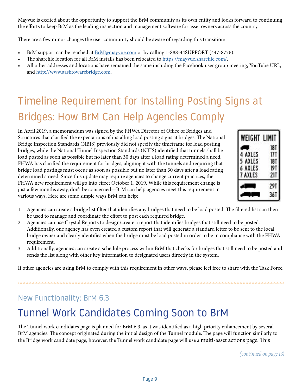Mayvue is excited about the opportunity to support the BrM community as its own entity and looks forward to continuing the efforts to keep BrM as the leading inspection and management software for asset owners across the country.

There are a few minor changes the user community should be aware of regarding this transition:

- BrM support can be reached at  $BrM@mayvue.com$  or by calling 1-888-44SUPPORT (447-8776).
- The sharefile location for all BrM installs has been relocated t[o https://mayvue.sharefile.com/.](https://mayvue.sharefile.com/)
- All other addresses and locations have remained the same including the Facebook user group meeting, YouTube URL, an[d http://www.aashtowarebridge.com.](http://www.aashtowarebridge.com)

# Timeline Requirement for Installing Posting Signs at Bridges: How BrM Can Help Agencies Comply

In April 2019, a memorandum was signed by the FHWA Director of Office of Bridges and Structures that clarified the expectations of installing load posting signs at bridges. The National Bridge Inspection Standards (NBIS) previously did not specify the timeframe for load posting bridges, while the National Tunnel Inspection Standards (NTIS) identified that tunnels shall be load posted as soon as possible but no later than 30 days after a load rating determined a need. FHWA has clarified the requirement for bridges, aligning it with the tunnels and requiring that bridge load postings must occur as soon as possible but no later than 30 days after a load rating determined a need. Since this update may require agencies to change current practices, the FHWA new requirement will go into effect October 1, 2019. While this requirement change is just a few months away, don't be concerned—BrM can help agencies meet this requirement in various ways. Here are some simple ways BrM can help:

| WEIGHT LIMIT |     |
|--------------|-----|
|              | 181 |
| AXLES        |     |
| AXLES<br>5   | 181 |
| AXLES<br>6   | 191 |
| AXLES        | 211 |
|              | 29  |
|              |     |

- 1. Agencies can create a bridge list filter that identifies any bridges that need to be load posted. The filtered list can then be used to manage and coordinate the effort to post each required bridge.
- 2. Agencies can use Crystal Reports to design/create a report that identifies bridges that still need to be posted. Additionally, one agency has even created a custom report that will generate a standard letter to be sent to the local bridge owner and clearly identifies when the bridge must be load posted in order to be in compliance with the FHWA requirement.
- 3. Additionally, agencies can create a schedule process within BrM that checks for bridges that still need to be posted and sends the list along with other key information to designated users directly in the system.

If other agencies are using BrM to comply with this requirement in other ways, please feel free to share with the Task Force.

#### New Functionality: BrM 6.3

# Tunnel Work Candidates Coming Soon to BrM

The Tunnel work candidates page is planned for BrM 6.3, as it was identified as a high priority enhancement by several BrM agencies. The concept originated during the initial design of the Tunnel module. The page will function similarly to the Bridge work candidate page; however, the Tunnel work candidate page will use a multi-asset actions page. This

*(continued on page 13)*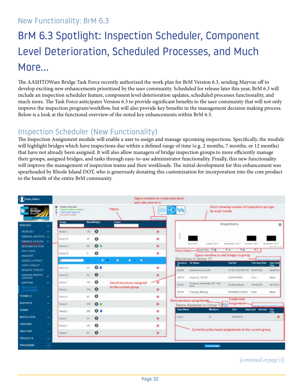#### <span id="page-9-0"></span>New Functionality: BrM 6.3

# BrM 6.3 Spotlight: Inspection Scheduler, Component Level Deterioration, Scheduled Processes, and Much More…

The AASHTOWare Bridge Task Force recently authorized the work plan for BrM Version 6.3, sending Mayvue off to develop exciting new enhancements prioritized by the user community. Scheduled for release later this year, BrM 6.3 will include an inspection scheduler feature, component level deterioration updates, scheduled processes functionality, and much more. The Task Force anticipates Version 6.3 to provide significant benefits to the user community that will not only improve the inspection program/workflow, but will also provide key benefits in the management decision making process. Below is a look at the functional overview of the noted key enhancements within BrM 6.3.

#### Inspection Scheduler (New Functionality)

The Inspection Assignment module will enable a user to assign and manage upcoming inspections. Specifically, the module will highlight bridges which have inspections due within a defined range of time (e.g. 2 months, 7 months, or 12 months) that have not already been assigned. It will also allow managers of bridge inspection groups to more efficiently manage their groups, assigned bridges, and tasks through easy-to-use administrator functionality. Finally, this new functionality will improve the management of inspection teams and their workloads. The initial development for this enhancement was spearheaded by Rhode Island DOT, who is generously donating this customization for incorporation into the core product to the benefit of the entire BrM community.



 *(continued on page 11)*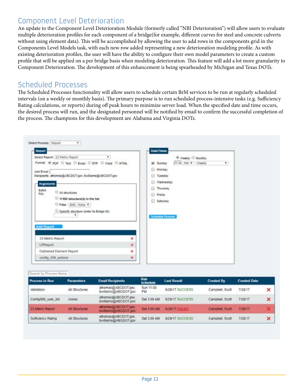#### Component Level Deterioration

An update to the Component Level Deterioration Module (formerly called "NBI Deterioration") will allow users to evaluate multiple deterioration profiles for each component of a bridge(for example, different curves for steel and concrete culverts without using element data). This will be accomplished by allowing the user to add rows in the components grid in the Components Level Models task, with each new row added representing a new deterioration modeling profile. As with existing deterioration profiles, the user will have the ability to configure their own model parameters to create a custom profile that will be applied on a per bridge basis when modeling deterioration. This feature will add a lot more granularity to Component Deterioration. The development of this enhancement is being spearheaded by Michigan and Texas DOTs.

#### Scheduled Processes

The Scheduled Processes functionality will allow users to schedule certain BrM services to be run at regularly scheduled intervals (on a weekly or monthly basis). The primary purpose is to run scheduled process-intensive tasks (e.g. Sufficiency Rating calculations, or reports) during off peak hours to minimize server load. When the specified date and time occurs, the desired process will run, and the designated personnel will be notified by email to confirm the successful completion of the process. The champions for this development are Alabama and Virginia DOTs.

| Report                                                                                                                                                                                                                                                                                                                                          | <b>Date/Times</b>                                                                                                                                           |
|-------------------------------------------------------------------------------------------------------------------------------------------------------------------------------------------------------------------------------------------------------------------------------------------------------------------------------------------------|-------------------------------------------------------------------------------------------------------------------------------------------------------------|
| Select Report 23 Metric Report<br>Y.<br>Format (# PDF © Text © Excel © RTF © Word © HTML<br>Add Email:<br>Recipients: athomas@ABCDOT.gov. bwilliams@ABCDOT.gov<br>Arguments<br>Batch<br>All shuttures<br>Key<br>ハビリロ<br>11460 structure(s) in the list<br>Filter:   BrM - None Y<br>Specific structure (enter its Bridge ID)<br>۰<br>Add Report | Weekly Monthly<br>11.00 PM #   Vieekly<br>$\mathbf{v}$<br>af Sunday<br>Monday<br>Tuesday<br>Wednesday<br>Thursday<br>Friday<br>Saturday<br>Schedule Process |
| 23 Metric Report                                                                                                                                                                                                                                                                                                                                | ×                                                                                                                                                           |
| LRReport                                                                                                                                                                                                                                                                                                                                        | ×                                                                                                                                                           |
| Orphaned Element Report                                                                                                                                                                                                                                                                                                                         | ×                                                                                                                                                           |
| config 008 actions                                                                                                                                                                                                                                                                                                                              | ×                                                                                                                                                           |

| i Mar ID |  |
|----------|--|

| <b>Process to Run</b> | <b>Parameters</b>     | <b>Email Recipients</b>                      | Rum<br><b>Schedule</b> | <b>Last Result</b>    | <b>Created By</b> | <b>Created Date</b> |   |
|-----------------------|-----------------------|----------------------------------------------|------------------------|-----------------------|-------------------|---------------------|---|
| Validation            | All Structures        | athomas@ABCDOT.gov.<br>bwilliams@ABCDOT.gov  | Sun 11:00<br>PM.       | 8/29/17 SUCCESS       | Campbell, Scott   | 7/28/17             | × |
| Config006 user list   | inone)                | athomas@ABCDOT.gov.<br>bwilliams@ABCDOT.gov  | Sat 3:00 AM            | 8/29/17 SUCCESS       | Campbell, Scott   | 7/28/17             | × |
| 23 Metric Report      | <b>All Structures</b> | athomas@ABCDOT.gov.<br>bwilliams@ABCDOT.gov  | <b>Sat 3:00 AM</b>     | <b>S/29/17 FAILED</b> | Campbell Scott    | 7/28/17             |   |
| Sufficiency Rating    | All Structures        | athornas@ABCDOT.gov.<br>bwilliams@ABCDOT.gov | Sat 3:00 AM            | 8/29/17 SUCCESS       | Campbell, Scott   | 7/28/17             | × |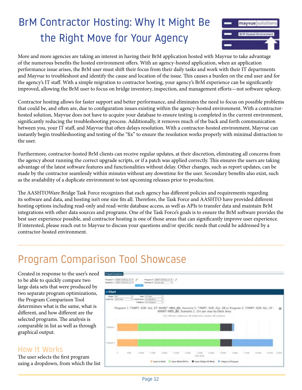# <span id="page-11-0"></span>BrM Contractor Hosting: Why It Might Be the Right Move for Your Agency



More and more agencies are taking an interest in having their BrM application hosted with Mayvue to take advantage of the numerous benefits the hosted environment offers. With an agency-hosted application, when an application performance issue arises, the BrM user must shift their focus from their daily tasks and work with their IT departments and Mayvue to troubleshoot and identify the cause and location of the issue. This causes a burden on the end user and for the agency's IT staff. With a simple migration to contractor hosting, your agency's BrM experience can be significantly improved, allowing the BrM user to focus on bridge inventory, inspection, and management efforts—not software upkeep.

Contractor hosting allows for faster support and better performance, and eliminates the need to focus on possible problems that could be, and often are, due to configuration issues existing within the agency-hosted environment. With a contractorhosted solution, Mayvue does not have to acquire your database to ensure testing is completed in the current environment, significantly reducing the troubleshooting process. Additionally, it removes much of the back and forth communication between you, your IT staff, and Mayvue that often delays resolution. With a contractor-hosted environment, Mayvue can instantly begin troubleshooting and testing of the "fix" to ensure the resolution works properly with minimal distraction to the user.

Furthermore, contractor-hosted BrM clients can receive regular updates, at their discretion, eliminating all concerns from the agency about running the correct upgrade scripts, or if a patch was applied correctly. This ensures the users are taking advantage of the latest software features and functionalities without delay. Other changes, such as report updates, can be made by the contractor seamlessly within minutes without any downtime for the user. Secondary benefits also exist, such as the availability of a duplicate environment to test upcoming releases prior to production.

The AASHTOWare Bridge Task Force recognizes that each agency has different policies and requirements regarding its software and data, and hosting isn't one size fits all. Therefore, the Task Force and AASHTO have provided different hosting options including read-only and read-write database access, as well as APIs to transfer data and maintain BrM integrations with other data sources and programs. One of the Task Force's goals is to ensure the BrM software provides the best user experience possible, and contractor hosting is one of those areas that can significantly improve user experience. If interested, please reach out to Mayvue to discuss your questions and/or specific needs that could be addressed by a contractor-hosted environment.

# Program Comparison Tool Showcase

Created in response to the user's need to be able to quickly compare two large data sets that were produced by two separate program optimizations, the Program Comparison Tool determines what is the same, what is different, and how different are the selected programs. The analysis is comparable in list as well as through graphical output.

#### How It Works

The user selects the first program using a dropdown, from which the list

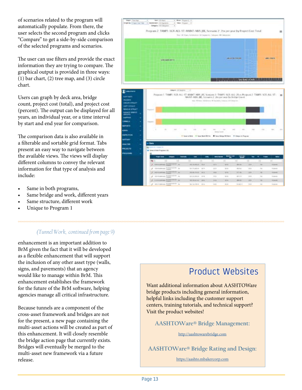of scenarios related to the program will automatically populate. From there, the user selects the second program and clicks "Compare" to get a side-by-side comparison of the selected programs and scenarios.

The user can use filters and provide the exact information they are trying to compare. The graphical output is provided in three ways: (1) bar chart, (2) tree map, and (3) circle chart.

Users can graph by deck area, bridge count, project cost (total), and project cost (percent). The output can be displayed for all years, an individual year, or a time interval by start and end year for comparison.

The comparison data is also available in a filterable and sortable grid format. Tabs present an easy way to navigate between the available views. The views will display different columns to convey the relevant information for that type of analysis and include:

- Same in both programs,
- Same bridge and work, different years
- Same structure, different work
- Unique to Program 1

#### *(Tunnel Work, continued from page 9)*

enhancement is an important addition to BrM given the fact that it will be developed as a flexible enhancement that will support the inclusion of any other asset type (walls, signs, and pavements) that an agency would like to manage within BrM. This enhancement establishes the framework for the future of the BrM software, helping agencies manage all critical infrastructure.

Because tunnels are a component of the cross-asset framework and bridges are not for the present, a new page containing the multi-asset actions will be created as part of this enhancement. It will closely resemble the bridge action page that currently exists. Bridges will eventually be merged to the multi-asset new framework via a future release.



#### Product Websites

Want additional information about AASHTOWare bridge products including general information, helpful links including the customer support centers, training tutorials, and technical support? Visit the product websites!

**AASHTOWare® Bridge Management:**

<http://aashtowarebridge.com>

**AASHTOWare® Bridge Rating and Design:**

<https://aashto.mbakercorp.com>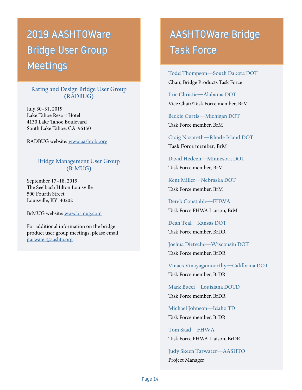# 2019 AASHTOWare Bridge User Group Meetings

#### **[Rating and Design Bridge User Group](https://tinyurl.com/y6fyayy7)  [\(RADBUG\)](https://tinyurl.com/y6fyayy7)**

July 30–31, 2019 Lake Tahoe Resort Hotel 4130 Lake Tahoe Boulevard South Lake Tahoe, CA 96150

RADBUG website[: www.aashtobr.org](http://www.aashtobr.org)

#### **[Bridge Management User Group](https://tinyurl.com/y63s54p2)  [\(BrMUG\)](https://tinyurl.com/y63s54p2)**

September 17–18, 2019 The Seelbach Hilton Louisville 500 Fourth Street Louisville, KY 40202

BrMUG website[: www.brmug.com](http://www.brmug.com)

For additional information on the bridge product user group meetings, please email [jtarwater@aashto.org.](mailto:jtarwater%40aashto.org?subject=Bridge%20Product%20User%20Group%20Meetings)

# AASHTOWare Bridge Task Force

**Todd Thompson—South Dakota DOT** Chair, Bridge Products Task Force

**Eric Christie—Alabama DOT** Vice Chair/Task Force member, BrM

**Beckie Curtis—Michigan DOT** Task Force member, BrM

**Craig Nazareth—Rhode Island DOT Task Force member, BrM**

**David Hedeen—Minnesota DOT** Task Force member, BrM

**Kent Miller—Nebraska DOT** Task Force member, BrM

**Derek Constable—FHWA** Task Force FHWA Liaison, BrM

**Dean Teal—Kansas DOT** Task Force member, BrDR

**Joshua Dietsche—Wisconsin DOT**  Task Force member, BrDR

**Vinacs Vinayagamoorthy—California DOT** Task Force member, BrDR

**Mark Bucci—Louisiana DOTD** Task Force member, BrDR

**Michael Johnson—Idaho TD** Task Force member, BrDR

**Tom Saad—FHWA** Task Force FHWA Liaison, BrDR

**Judy Skeen Tarwater—AASHTO** Project Manager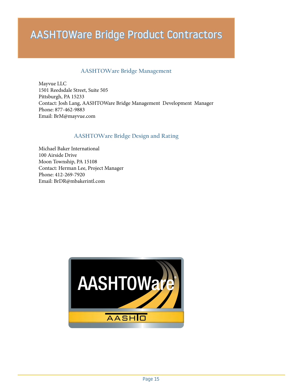# AASHTOWare Bridge Product Contractors

#### **AASHTOWare Bridge Management**

Mayvue LLC 1501 Reedsdale Street, Suite 505 Pittsburgh, PA 15233 Contact: Josh Lang, AASHTOWare Bridge Management Development Manager Phone: 877-462-9883 [Email: BrM@mayvue.com](mailto:BrM%40mayvue.com?subject=)

#### **AASHTOWare Bridge Design and Rating**

Michael Baker International 100 Airside Drive Moon Township, PA 15108 Contact: Herman Lee, Project Manager Phone: 412-269-7920 [Email: BrDR@mbakerintl.com](mailto:BrDR%40mbakerintl.com?subject=)